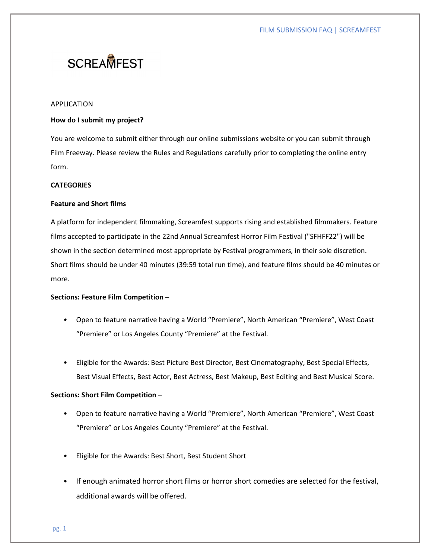# **SCREAMFEST**

#### APPLICATION

# How do I submit my project?

You are welcome to submit either through our online submissions website or you can submit through Film Freeway. Please review the Rules and Regulations carefully prior to completing the online entry form.

# **CATEGORIES**

# Feature and Short films

A platform for independent filmmaking, Screamfest supports rising and established filmmakers. Feature films accepted to participate in the 22nd Annual Screamfest Horror Film Festival ("SFHFF22") will be shown in the section determined most appropriate by Festival programmers, in their sole discretion. Short films should be under 40 minutes (39:59 total run time), and feature films should be 40 minutes or more.

#### Sections: Feature Film Competition –

- Open to feature narrative having a World "Premiere", North American "Premiere", West Coast "Premiere" or Los Angeles County "Premiere" at the Festival.
- Eligible for the Awards: Best Picture Best Director, Best Cinematography, Best Special Effects, Best Visual Effects, Best Actor, Best Actress, Best Makeup, Best Editing and Best Musical Score.

# Sections: Short Film Competition –

- Open to feature narrative having a World "Premiere", North American "Premiere", West Coast "Premiere" or Los Angeles County "Premiere" at the Festival.
- Eligible for the Awards: Best Short, Best Student Short
- If enough animated horror short films or horror short comedies are selected for the festival, additional awards will be offered.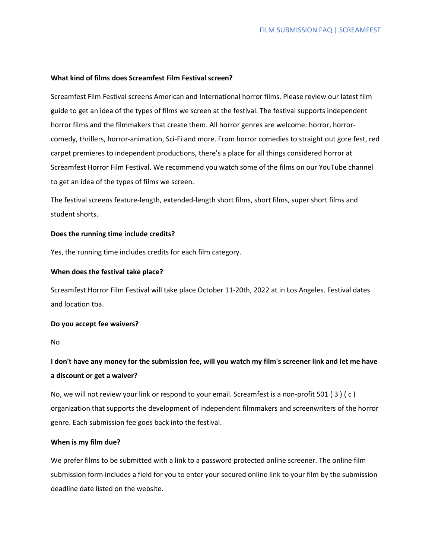# What kind of films does Screamfest Film Festival screen?

Screamfest Film Festival screens American and International horror films. Please review our latest film guide to get an idea of the types of films we screen at the festival. The festival supports independent horror films and the filmmakers that create them. All horror genres are welcome: horror, horrorcomedy, thrillers, horror-animation, Sci-Fi and more. From horror comedies to straight out gore fest, red carpet premieres to independent productions, there's a place for all things considered horror at Screamfest Horror Film Festival. We recommend you watch some of the films on our YouTube channel to get an idea of the types of films we screen.

The festival screens feature-length, extended-length short films, short films, super short films and student shorts.

#### Does the running time include credits?

Yes, the running time includes credits for each film category.

#### When does the festival take place?

Screamfest Horror Film Festival will take place October 11-20th, 2022 at in Los Angeles. Festival dates and location tba.

### Do you accept fee waivers?

No

# I don't have any money for the submission fee, will you watch my film's screener link and let me have a discount or get a waiver?

No, we will not review your link or respond to your email. Screamfest is a non-profit 501 ( 3 ) ( c ) organization that supports the development of independent filmmakers and screenwriters of the horror genre. Each submission fee goes back into the festival.

# When is my film due?

We prefer films to be submitted with a link to a password protected online screener. The online film submission form includes a field for you to enter your secured online link to your film by the submission deadline date listed on the website.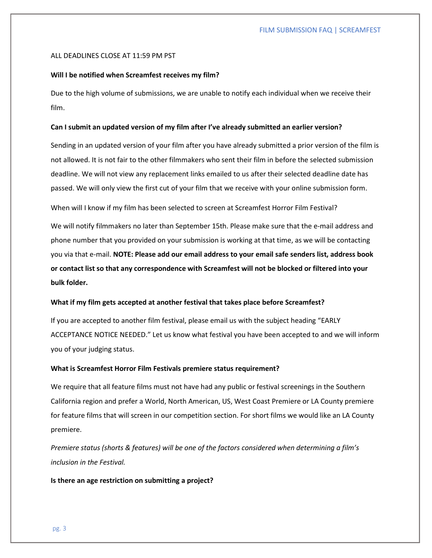#### ALL DEADLINES CLOSE AT 11:59 PM PST

#### Will I be notified when Screamfest receives my film?

Due to the high volume of submissions, we are unable to notify each individual when we receive their film.

#### Can I submit an updated version of my film after I've already submitted an earlier version?

Sending in an updated version of your film after you have already submitted a prior version of the film is not allowed. It is not fair to the other filmmakers who sent their film in before the selected submission deadline. We will not view any replacement links emailed to us after their selected deadline date has passed. We will only view the first cut of your film that we receive with your online submission form.

When will I know if my film has been selected to screen at Screamfest Horror Film Festival?

We will notify filmmakers no later than September 15th. Please make sure that the e-mail address and phone number that you provided on your submission is working at that time, as we will be contacting you via that e-mail. NOTE: Please add our email address to your email safe senders list, address book or contact list so that any correspondence with Screamfest will not be blocked or filtered into your bulk folder.

#### What if my film gets accepted at another festival that takes place before Screamfest?

If you are accepted to another film festival, please email us with the subject heading "EARLY ACCEPTANCE NOTICE NEEDED." Let us know what festival you have been accepted to and we will inform you of your judging status.

#### What is Screamfest Horror Film Festivals premiere status requirement?

We require that all feature films must not have had any public or festival screenings in the Southern California region and prefer a World, North American, US, West Coast Premiere or LA County premiere for feature films that will screen in our competition section. For short films we would like an LA County premiere.

Premiere status (shorts & features) will be one of the factors considered when determining a film's inclusion in the Festival.

Is there an age restriction on submitting a project?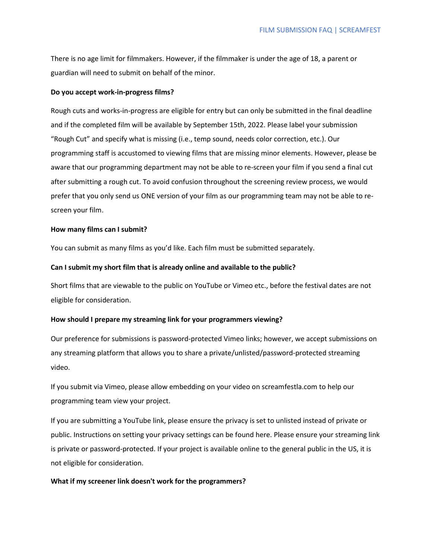There is no age limit for filmmakers. However, if the filmmaker is under the age of 18, a parent or guardian will need to submit on behalf of the minor.

# Do you accept work-in-progress films?

Rough cuts and works-in-progress are eligible for entry but can only be submitted in the final deadline and if the completed film will be available by September 15th, 2022. Please label your submission "Rough Cut" and specify what is missing (i.e., temp sound, needs color correction, etc.). Our programming staff is accustomed to viewing films that are missing minor elements. However, please be aware that our programming department may not be able to re-screen your film if you send a final cut after submitting a rough cut. To avoid confusion throughout the screening review process, we would prefer that you only send us ONE version of your film as our programming team may not be able to rescreen your film.

#### How many films can I submit?

You can submit as many films as you'd like. Each film must be submitted separately.

#### Can I submit my short film that is already online and available to the public?

Short films that are viewable to the public on YouTube or Vimeo etc., before the festival dates are not eligible for consideration.

#### How should I prepare my streaming link for your programmers viewing?

Our preference for submissions is password-protected Vimeo links; however, we accept submissions on any streaming platform that allows you to share a private/unlisted/password-protected streaming video.

If you submit via Vimeo, please allow embedding on your video on screamfestla.com to help our programming team view your project.

If you are submitting a YouTube link, please ensure the privacy is set to unlisted instead of private or public. Instructions on setting your privacy settings can be found here. Please ensure your streaming link is private or password-protected. If your project is available online to the general public in the US, it is not eligible for consideration.

#### What if my screener link doesn't work for the programmers?